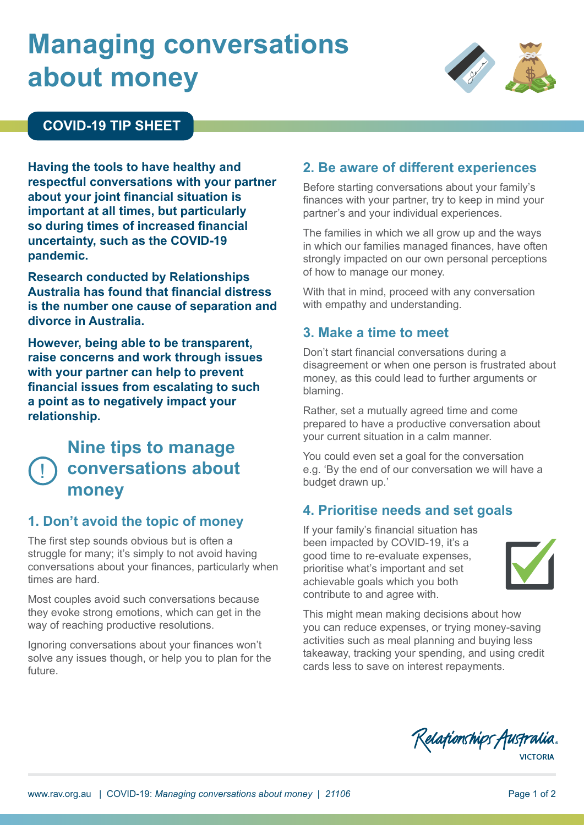# **Managing conversations about money**<br>about money



## **COVID-19 TIP SHEET**

**Having the tools to have healthy and respectful conversations with your partner about your joint financial situation is important at all times, but particularly so during times of increased financial uncertainty, such as the COVID-19 pandemic.**

**Research conducted by Relationships Australia has found that financial distress is the number one cause of separation and divorce in Australia.**

**However, being able to be transparent, raise concerns and work through issues with your partner can help to prevent financial issues from escalating to such a point as to negatively impact your relationship.**

#### !<br>! **Nine tips to manage conversations about money**

## **1. Don't avoid the topic of money**

The first step sounds obvious but is often a struggle for many; it's simply to not avoid having conversations about your finances, particularly when times are hard.

Most couples avoid such conversations because they evoke strong emotions, which can get in the way of reaching productive resolutions.

Ignoring conversations about your finances won't solve any issues though, or help you to plan for the future.

# **2. Be aware of different experiences**

Before starting conversations about your family's finances with your partner, try to keep in mind your partner's and your individual experiences.

The families in which we all grow up and the ways in which our families managed finances, have often strongly impacted on our own personal perceptions of how to manage our money.

With that in mind, proceed with any conversation with empathy and understanding.

#### **3. Make a time to meet**

Don't start financial conversations during a disagreement or when one person is frustrated about money, as this could lead to further arguments or blaming.

Rather, set a mutually agreed time and come prepared to have a productive conversation about your current situation in a calm manner.

You could even set a goal for the conversation e.g. 'By the end of our conversation we will have a budget drawn up.'

#### **4. Prioritise needs and set goals**

If your family's financial situation has been impacted by COVID-19, it's a good time to re-evaluate expenses, prioritise what's important and set achievable goals which you both contribute to and agree with.



This might mean making decisions about how you can reduce expenses, or trying money-saving activities such as meal planning and buying less takeaway, tracking your spending, and using credit cards less to save on interest repayments.

Relationships Australia